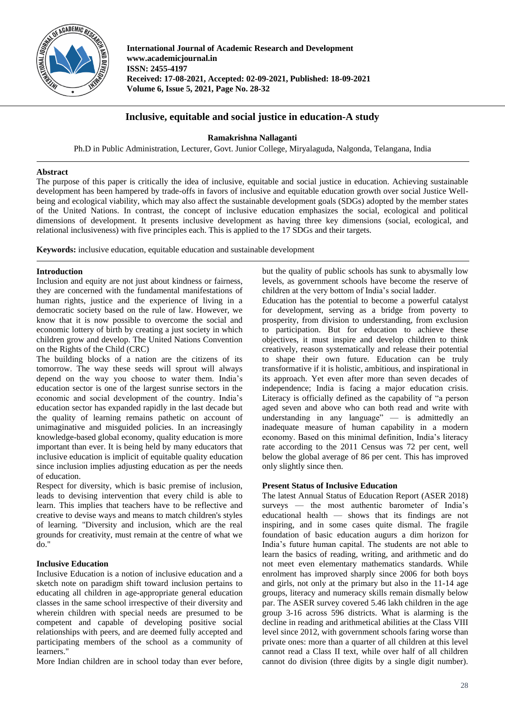

**International Journal of Academic Research and Development www.academicjournal.in ISSN: 2455-4197 Received: 17-08-2021, Accepted: 02-09-2021, Published: 18-09-2021 Volume 6, Issue 5, 2021, Page No. 28-32**

# **Inclusive, equitable and social justice in education-A study**

# **Ramakrishna Nallaganti**

Ph.D in Public Administration, Lecturer, Govt. Junior College, Miryalaguda, Nalgonda, Telangana, India

### **Abstract**

The purpose of this paper is critically the idea of inclusive, equitable and social justice in education. Achieving sustainable development has been hampered by trade-offs in favors of inclusive and equitable education growth over social Justice Wellbeing and ecological viability, which may also affect the sustainable development goals (SDGs) adopted by the member states of the United Nations. In contrast, the concept of inclusive education emphasizes the social, ecological and political dimensions of development. It presents inclusive development as having three key dimensions (social, ecological, and relational inclusiveness) with five principles each. This is applied to the 17 SDGs and their targets.

**Keywords:** inclusive education, equitable education and sustainable development

### **Introduction**

Inclusion and equity are not just about kindness or fairness, they are concerned with the fundamental manifestations of human rights, justice and the experience of living in a democratic society based on the rule of law. However, we know that it is now possible to overcome the social and economic lottery of birth by creating a just society in which children grow and develop. The United Nations Convention on the Rights of the Child (CRC)

The building blocks of a nation are the citizens of its tomorrow. The way these seeds will sprout will always depend on the way you choose to water them. India's education sector is one of the largest sunrise sectors in the economic and social development of the country. India's education sector has expanded rapidly in the last decade but the quality of learning remains pathetic on account of unimaginative and misguided policies. In an increasingly knowledge-based global economy, quality education is more important than ever. It is being held by many educators that inclusive education is implicit of equitable quality education since inclusion implies adjusting education as per the needs of education.

Respect for diversity, which is basic premise of inclusion, leads to devising intervention that every child is able to learn. This implies that teachers have to be reflective and creative to devise ways and means to match children's styles of learning. "Diversity and inclusion, which are the real grounds for creativity, must remain at the centre of what we do."

# **Inclusive Education**

Inclusive Education is a notion of inclusive education and a sketch note on paradigm shift toward inclusion pertains to educating all children in age-appropriate general education classes in the same school irrespective of their diversity and wherein children with special needs are presumed to be competent and capable of developing positive social relationships with peers, and are deemed fully accepted and participating members of the school as a community of learners."

More Indian children are in school today than ever before,

but the quality of public schools has sunk to abysmally low levels, as government schools have become the reserve of children at the very bottom of India's social ladder.

Education has the potential to become a powerful catalyst for development, serving as a bridge from poverty to prosperity, from division to understanding, from exclusion to participation. But for education to achieve these objectives, it must inspire and develop children to think creatively, reason systematically and release their potential to shape their own future. Education can be truly transformative if it is holistic, ambitious, and inspirational in its approach. Yet even after more than seven decades of independence; India is facing a major education crisis. Literacy is officially defined as the capability of "a person aged seven and above who can both read and write with understanding in any language" — is admittedly an inadequate measure of human capability in a modern economy. Based on this minimal definition, India's literacy rate according to the 2011 Census was 72 per cent, well below the global average of 86 per cent. This has improved only slightly since then.

# **Present Status of Inclusive Education**

The latest Annual Status of Education Report (ASER 2018) surveys — the most authentic barometer of India's educational health — shows that its findings are not inspiring, and in some cases quite dismal. The fragile foundation of basic education augurs a dim horizon for India's future human capital. The students are not able to learn the basics of reading, writing, and arithmetic and do not meet even elementary mathematics standards. While enrolment has improved sharply since 2006 for both boys and girls, not only at the primary but also in the 11-14 age groups, literacy and numeracy skills remain dismally below par. The ASER survey covered 5.46 lakh children in the age group 3-16 across 596 districts. What is alarming is the decline in reading and arithmetical abilities at the Class VIII level since 2012, with government schools faring worse than private ones: more than a quarter of all children at this level cannot read a Class II text, while over half of all children cannot do division (three digits by a single digit number).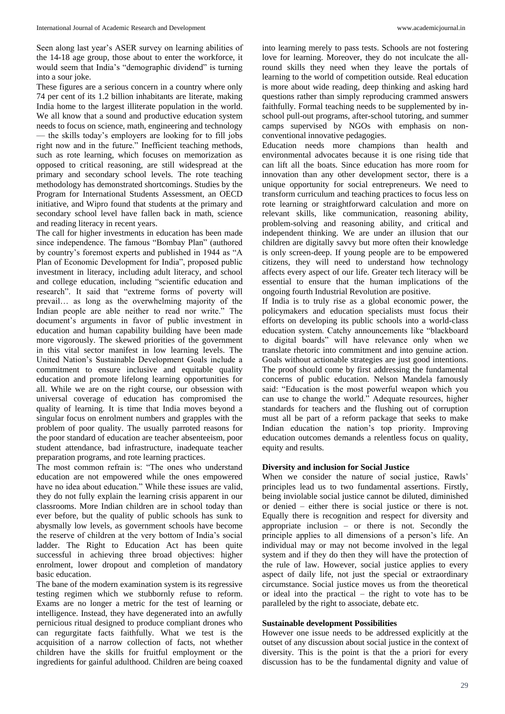Seen along last year's ASER survey on learning abilities of the 14-18 age group, those about to enter the workforce, it would seem that India's "demographic dividend" is turning into a sour joke.

These figures are a serious concern in a country where only 74 per cent of its 1.2 billion inhabitants are literate, making India home to the largest illiterate population in the world. We all know that a sound and productive education system needs to focus on science, math, engineering and technology — the skills today's employers are looking for to fill jobs right now and in the future." Inefficient teaching methods, such as rote learning, which focuses on memorization as opposed to critical reasoning, are still widespread at the primary and secondary school levels. The rote teaching methodology has demonstrated shortcomings. Studies by the Program for International Students Assessment, an OECD initiative, and Wipro found that students at the primary and secondary school level have fallen back in math, science and reading literacy in recent years.

The call for higher investments in education has been made since independence. The famous "Bombay Plan" (authored by country's foremost experts and published in 1944 as "A Plan of Economic Development for India", proposed public investment in literacy, including adult literacy, and school and college education, including "scientific education and research". It said that "extreme forms of poverty will prevail… as long as the overwhelming majority of the Indian people are able neither to read nor write." The document's arguments in favor of public investment in education and human capability building have been made more vigorously. The skewed priorities of the government in this vital sector manifest in low learning levels. The United Nation's Sustainable Development Goals include a commitment to ensure inclusive and equitable quality education and promote lifelong learning opportunities for all. While we are on the right course, our obsession with universal coverage of education has compromised the quality of learning. It is time that India moves beyond a singular focus on enrolment numbers and grapples with the problem of poor quality. The usually parroted reasons for the poor standard of education are teacher absenteeism, poor student attendance, bad infrastructure, inadequate teacher preparation programs, and rote learning practices.

The most common refrain is: "The ones who understand education are not empowered while the ones empowered have no idea about education." While these issues are valid, they do not fully explain the learning crisis apparent in our classrooms. More Indian children are in school today than ever before, but the quality of public schools has sunk to abysmally low levels, as government schools have become the reserve of children at the very bottom of India's social ladder. The Right to Education Act has been quite successful in achieving three broad objectives: higher enrolment, lower dropout and completion of mandatory basic education.

The bane of the modern examination system is its regressive testing regimen which we stubbornly refuse to reform. Exams are no longer a metric for the test of learning or intelligence. Instead, they have degenerated into an awfully pernicious ritual designed to produce compliant drones who can regurgitate facts faithfully. What we test is the acquisition of a narrow collection of facts, not whether children have the skills for fruitful employment or the ingredients for gainful adulthood. Children are being coaxed

into learning merely to pass tests. Schools are not fostering love for learning. Moreover, they do not inculcate the allround skills they need when they leave the portals of learning to the world of competition outside. Real education is more about wide reading, deep thinking and asking hard questions rather than simply reproducing crammed answers faithfully. Formal teaching needs to be supplemented by inschool pull-out programs, after-school tutoring, and summer camps supervised by NGOs with emphasis on nonconventional innovative pedagogies.

Education needs more champions than health and environmental advocates because it is one rising tide that can lift all the boats. Since education has more room for innovation than any other development sector, there is a unique opportunity for social entrepreneurs. We need to transform curriculum and teaching practices to focus less on rote learning or straightforward calculation and more on relevant skills, like communication, reasoning ability, problem-solving and reasoning ability, and critical and independent thinking. We are under an illusion that our children are digitally savvy but more often their knowledge is only screen-deep. If young people are to be empowered citizens, they will need to understand how technology affects every aspect of our life. Greater tech literacy will be essential to ensure that the human implications of the ongoing fourth Industrial Revolution are positive.

If India is to truly rise as a global economic power, the policymakers and education specialists must focus their efforts on developing its public schools into a world-class education system. Catchy announcements like "blackboard to digital boards" will have relevance only when we translate rhetoric into commitment and into genuine action. Goals without actionable strategies are just good intentions. The proof should come by first addressing the fundamental concerns of public education. Nelson Mandela famously said: "Education is the most powerful weapon which you can use to change the world." Adequate resources, higher standards for teachers and the flushing out of corruption must all be part of a reform package that seeks to make Indian education the nation's top priority. Improving education outcomes demands a relentless focus on quality, equity and results.

#### **Diversity and inclusion for Social Justice**

When we consider the nature of social justice, Rawls' principles lead us to two fundamental assertions. Firstly, being inviolable social justice cannot be diluted, diminished or denied – either there is social justice or there is not. Equally there is recognition and respect for diversity and appropriate inclusion – or there is not. Secondly the principle applies to all dimensions of a person's life. An individual may or may not become involved in the legal system and if they do then they will have the protection of the rule of law. However, social justice applies to every aspect of daily life, not just the special or extraordinary circumstance. Social justice moves us from the theoretical or ideal into the practical – the right to vote has to be paralleled by the right to associate, debate etc.

#### **Sustainable development Possibilities**

However one issue needs to be addressed explicitly at the outset of any discussion about social justice in the context of diversity. This is the point is that the a priori for every discussion has to be the fundamental dignity and value of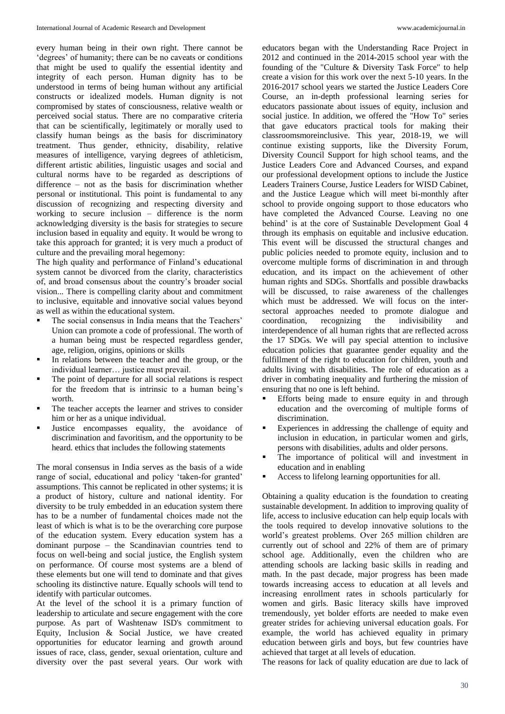every human being in their own right. There cannot be 'degrees' of humanity; there can be no caveats or conditions that might be used to qualify the essential identity and integrity of each person. Human dignity has to be understood in terms of being human without any artificial constructs or idealized models. Human dignity is not compromised by states of consciousness, relative wealth or perceived social status. There are no comparative criteria that can be scientifically, legitimately or morally used to classify human beings as the basis for discriminatory treatment. Thus gender, ethnicity, disability, relative measures of intelligence, varying degrees of athleticism, different artistic abilities, linguistic usages and social and cultural norms have to be regarded as descriptions of difference – not as the basis for discrimination whether personal or institutional. This point is fundamental to any discussion of recognizing and respecting diversity and working to secure inclusion – difference is the norm acknowledging diversity is the basis for strategies to secure inclusion based in equality and equity. It would be wrong to take this approach for granted; it is very much a product of culture and the prevailing moral hegemony:

The high quality and performance of Finland's educational system cannot be divorced from the clarity, characteristics of, and broad consensus about the country's broader social vision... There is compelling clarity about and commitment to inclusive, equitable and innovative social values beyond as well as within the educational system.

- The social consensus in India means that the Teachers' Union can promote a code of professional. The worth of a human being must be respected regardless gender, age, religion, origins, opinions or skills
- In relations between the teacher and the group, or the individual learner… justice must prevail.
- The point of departure for all social relations is respect for the freedom that is intrinsic to a human being's worth.
- The teacher accepts the learner and strives to consider him or her as a unique individual.
- Justice encompasses equality, the avoidance of discrimination and favoritism, and the opportunity to be heard. ethics that includes the following statements

The moral consensus in India serves as the basis of a wide range of social, educational and policy 'taken-for granted' assumptions. This cannot be replicated in other systems; it is a product of history, culture and national identity. For diversity to be truly embedded in an education system there has to be a number of fundamental choices made not the least of which is what is to be the overarching core purpose of the education system. Every education system has a dominant purpose – the Scandinavian countries tend to focus on well-being and social justice, the English system on performance. Of course most systems are a blend of these elements but one will tend to dominate and that gives schooling its distinctive nature. Equally schools will tend to identify with particular outcomes.

At the level of the school it is a primary function of leadership to articulate and secure engagement with the core purpose. As part of Washtenaw ISD's commitment to Equity, Inclusion & Social Justice, we have created opportunities for educator learning and growth around issues of race, class, gender, sexual orientation, culture and diversity over the past several years. Our work with educators began with the Understanding Race Project in 2012 and continued in the 2014-2015 school year with the founding of the "Culture & Diversity Task Force" to help create a vision for this work over the next 5-10 years. In the 2016-2017 school years we started the Justice Leaders Core Course, an in-depth professional learning series for educators passionate about issues of equity, inclusion and social justice. In addition, we offered the "How To" series that gave educators practical tools for making their classroomsmoreinclusive. This year, 2018-19, we will continue existing supports, like the Diversity Forum, Diversity Council Support for high school teams, and the Justice Leaders Core and Advanced Courses, and expand our professional development options to include the Justice Leaders Trainers Course, Justice Leaders for WISD Cabinet, and the Justice League which will meet bi-monthly after school to provide ongoing support to those educators who have completed the Advanced Course. Leaving no one behind' is at the core of Sustainable Development Goal 4 through its emphasis on equitable and inclusive education. This event will be discussed the structural changes and public policies needed to promote equity, inclusion and to overcome multiple forms of discrimination in and through education, and its impact on the achievement of other human rights and SDGs. Shortfalls and possible drawbacks will be discussed, to raise awareness of the challenges which must be addressed. We will focus on the intersectoral approaches needed to promote dialogue and coordination, recognizing the indivisibility and interdependence of all human rights that are reflected across the 17 SDGs. We will pay special attention to inclusive education policies that guarantee gender equality and the fulfillment of the right to education for children, youth and adults living with disabilities. The role of education as a driver in combating inequality and furthering the mission of ensuring that no one is left behind.

- Efforts being made to ensure equity in and through education and the overcoming of multiple forms of discrimination.
- Experiences in addressing the challenge of equity and inclusion in education, in particular women and girls, persons with disabilities, adults and older persons.
- The importance of political will and investment in education and in enabling
- Access to lifelong learning opportunities for all.

Obtaining a quality education is the foundation to creating sustainable development. In addition to improving quality of life, access to inclusive education can help equip locals with the tools required to develop innovative solutions to the world's greatest problems. Over 265 million children are currently out of school and 22% of them are of primary school age. Additionally, even the children who are attending schools are lacking basic skills in reading and math. In the past decade, major progress has been made towards increasing access to education at all levels and increasing enrollment rates in schools particularly for women and girls. Basic literacy skills have improved tremendously, yet bolder efforts are needed to make even greater strides for achieving universal education goals. For example, the world has achieved equality in primary education between girls and boys, but few countries have achieved that target at all levels of education.

The reasons for lack of quality education are due to lack of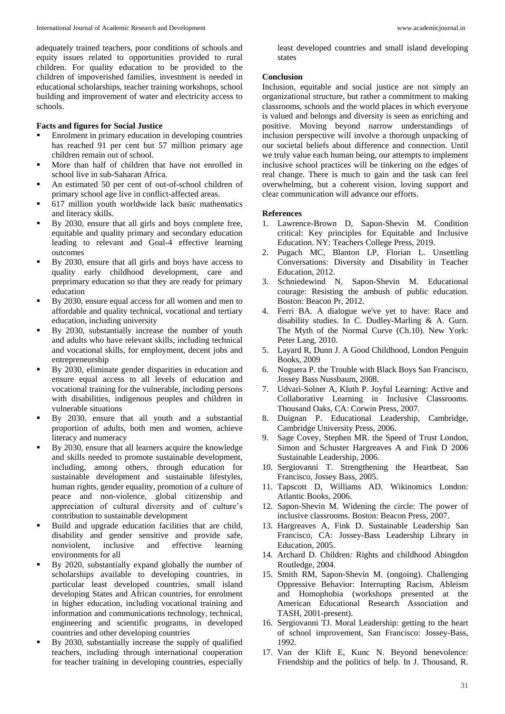adequately trained teachers, poor conditions of schools and equity issues related to opportunities provided to rural children. For quality education to be provided to the children of impoverished families, investment is needed in educational scholarships, teacher training workshops, school building and improvement of water and electricity access to schools.

### **Facts and figures for Social Justice**

- Enrolment in primary education in developing countries has reached 91 per cent but 57 million primary age children remain out of school.
- More than half of children that have not enrolled in school live in sub-Saharan Africa.
- An estimated 50 per cent of out-of-school children of primary school age live in conflict-affected areas.
- 617 million youth worldwide lack basic mathematics and literacy skills.
- By 2030, ensure that all girls and boys complete free, equitable and quality primary and secondary education leading to relevant and Goal-4 effective learning outcomes
- By 2030, ensure that all girls and boys have access to quality early childhood development, care and preprimary education so that they are ready for primary education
- By 2030, ensure equal access for all women and men to affordable and quality technical, vocational and tertiary education, including university
- By 2030, substantially increase the number of youth and adults who have relevant skills, including technical and vocational skills, for employment, decent jobs and entrepreneurship
- By 2030, eliminate gender disparities in education and ensure equal access to all levels of education and vocational training for the vulnerable, including persons with disabilities, indigenous peoples and children in vulnerable situations
- By 2030, ensure that all youth and a substantial proportion of adults, both men and women, achieve literacy and numeracy
- By 2030, ensure that all learners acquire the knowledge and skills needed to promote sustainable development, including, among others, through education for sustainable development and sustainable lifestyles, human rights, gender equality, promotion of a culture of peace and non-violence, global citizenship and appreciation of cultural diversity and of culture's contribution to sustainable development
- Build and upgrade education facilities that are child, disability and gender sensitive and provide safe, nonviolent, inclusive and effective learning environments for all
- By 2020, substantially expand globally the number of scholarships available to developing countries, in particular least developed countries, small island developing States and African countries, for enrolment in higher education, including vocational training and information and communications technology, technical, engineering and scientific programs, in developed countries and other developing countries
- By 2030, substantially increase the supply of qualified teachers, including through international cooperation for teacher training in developing countries, especially

least developed countries and small island developing states

### **Conclusion**

Inclusion, equitable and social justice are not simply an organizational structure, but rather a commitment to making classrooms, schools and the world places in which everyone is valued and belongs and diversity is seen as enriching and positive. Moving beyond narrow understandings of inclusion perspective will involve a thorough unpacking of our societal beliefs about difference and connection. Until we truly value each human being, our attempts to implement inclusive school practices will be tinkering on the edges of real change. There is much to gain and the task can feel overwhelming, but a coherent vision, loving support and clear communication will advance our efforts.

# **References**

- 1. Lawrence-Brown D, Sapon-Shevin M. Condition critical: Key principles for Equitable and Inclusive Education. NY: Teachers College Press, 2019.
- 2. Pugach MC, Blanton LP, Florian L. Unsettling Conversations: Diversity and Disability in Teacher Education, 2012.
- 3. Schniedewind N, Sapon-Shevin M. Educational courage: Resisting the ambush of public education. Boston: Beacon Pr, 2012.
- 4. Ferri BA. A dialogue we've yet to have: Race and disability studies. In C. Dudley-Marling & A. Gurn. The Myth of the Normal Curve (Ch.10). New York: Peter Lang, 2010.
- 5. Layard R, Dunn J. A Good Childhood, London Penguin Books, 2009
- 6. Noguera P. the Trouble with Black Boys San Francisco, Jossey Bass Nussbaum, 2008.
- 7. Udvari-Solner A, Kluth P. Joyful Learning: Active and Collaborative Learning in Inclusive Classrooms. Thousand Oaks, CA: Corwin Press, 2007.
- 8. Duignan P. Educational Leadership, Cambridge, Cambridge University Press, 2006.
- 9. Sage Covey, Stephen MR. the Speed of Trust London, Simon and Schuster Hargreaves A and Fink D 2006 Sustainable Leadership, 2006.
- 10. Sergiovanni T. Strengthening the Heartbeat, San Francisco, Jossey Bass, 2005.
- 11. Tapscott D, Williams AD. Wikinomics London: Atlantic Books, 2006.
- 12. Sapon-Shevin M. Widening the circle: The power of inclusive classrooms. Boston: Beacon Press, 2007.
- 13. Hargreaves A, Fink D. Sustainable Leadership San Francisco, CA: Jossey-Bass Leadership Library in Education, 2005.
- 14. Archard D. Children*:* Rights and childhood Abingdon Routledge, 2004.
- 15. Smith RM, Sapon-Shevin M. (ongoing). Challenging Oppressive Behavior: Interrupting Racism, Ableism and Homophobia (workshops presented at the American Educational Research Association and TASH, 2001-present).
- 16. Sergiovanni TJ. Moral Leadership: getting to the heart of school improvement, San Francisco: Jossey-Bass, 1992.
- 17. Van der Klift E, Kunc N. Beyond benevolence: Friendship and the politics of help. In J. Thousand, R.